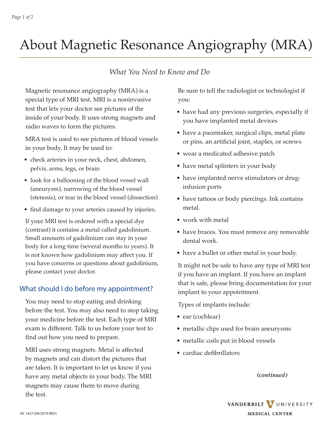# About Magnetic Resonance Angiography (MRA)

### *What You Need to Know and Do*

Magnetic resonance angiography (MRA) is a special type of MRI test. MRI is a noninvasive test that lets your doctor see pictures of the inside of your body. It uses strong magnets and radio waves to form the pictures.

MRA test is used to see pictures of blood vessels in your body. It may be used to:

- check arteries in your neck, chest, abdomen, pelvis, arms, legs, or brain
- look for a ballooning of the blood vessel wall (aneurysm), narrowing of the blood vessel (stenosis), or tear in the blood vessel (dissection)
- find damage to your arteries caused by injuries.

If your MRI test is ordered with a special dye (contrast) it contains a metal called gadolinium. Small amounts of gadolinium can stay in your body for a long time (several months to years). It is not known how gadolinium may affect you. If you have concerns or questions about gadolinium, please contact your doctor.

#### What should I do before my appointment?

You may need to stop eating and drinking before the test. You may also need to stop taking your medicine before the test. Each type of MRI exam is different. Talk to us before your test to find out how you need to prepare.

MRI uses strong magnets. Metal is affected by magnets and can distort the pictures that are taken. It is important to let us know if you have any metal objects in your body. The MRI magnets may cause them to move during the test.

Be sure to tell the radiologist or technologist if you:

- have had any previous surgeries, especially if you have implanted metal devices
- have a pacemaker, surgical clips, metal plate or pins, an artificial joint, staples, or screws
- wear a medicated adhesive patch
- have metal splinters in your body
- have implanted nerve stimulators or druginfusion ports
- have tattoos or body piercings. Ink contains metal.
- work with metal
- have braces. You must remove any removable dental work.
- have a bullet or other metal in your body.

It might not be safe to have any type of MRI test if you have an implant. If you have an implant that is safe, please bring documentation for your implant to your appointment.

Types of implants include:

- ear (cochlear)
- metallic clips used for brain aneurysms
- metallic coils put in blood vessels
- cardiac defibrillators

*(continued)*